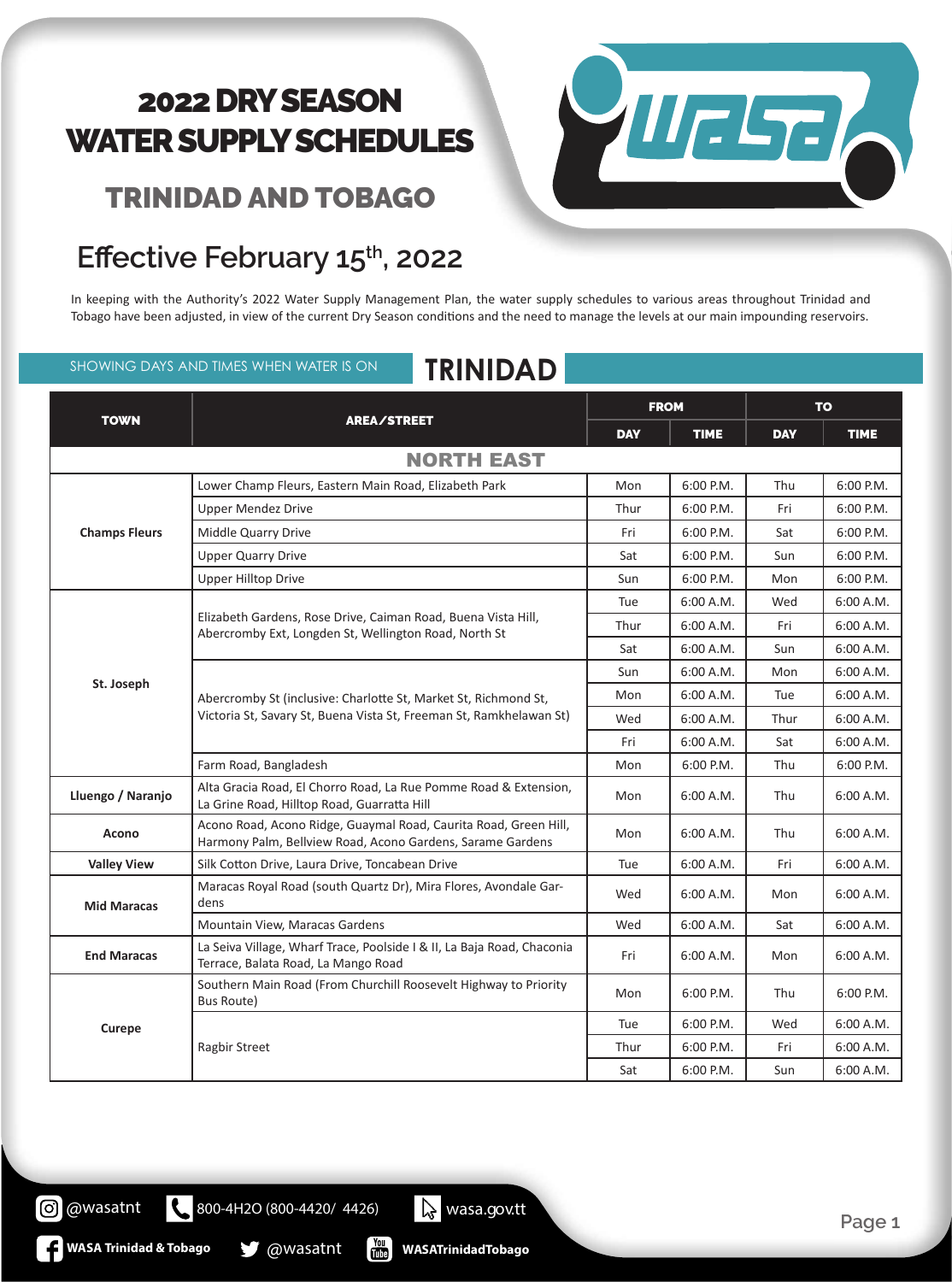### TRINIDAD AND TOBAGO



### Effective February 15<sup>th</sup>, 2022

In keeping with the Authority's 2022 Water Supply Management Plan, the water supply schedules to various areas throughout Trinidad and Tobago have been adjusted, in view of the current Dry Season conditions and the need to manage the levels at our main impounding reservoirs.

### SHOWING DAYS AND TIMES WHEN WATER IS ON **TRINIDAD**

| <b>TOWN</b>          | <b>AREA/STREET</b>                                                                                                                     | <b>FROM</b> |             | <b>TO</b>  |             |
|----------------------|----------------------------------------------------------------------------------------------------------------------------------------|-------------|-------------|------------|-------------|
|                      |                                                                                                                                        | <b>DAY</b>  | <b>TIME</b> | <b>DAY</b> | <b>TIME</b> |
|                      | <b>NORTH EAST</b>                                                                                                                      |             |             |            |             |
|                      | Lower Champ Fleurs, Eastern Main Road, Elizabeth Park                                                                                  | Mon         | 6:00 P.M.   | Thu        | 6:00 P.M.   |
|                      | <b>Upper Mendez Drive</b>                                                                                                              | Thur        | $6:00$ P.M. | Fri        | $6:00$ P.M. |
| <b>Champs Fleurs</b> | Middle Quarry Drive                                                                                                                    | Fri         | 6:00 P.M.   | Sat        | 6:00 P.M.   |
|                      | <b>Upper Quarry Drive</b>                                                                                                              | Sat         | 6:00 P.M.   | Sun        | 6:00 P.M.   |
|                      | <b>Upper Hilltop Drive</b>                                                                                                             | Sun         | 6:00 P.M.   | Mon        | 6:00 P.M.   |
|                      |                                                                                                                                        | Tue         | 6:00 A.M.   | Wed        | 6:00 A.M.   |
|                      | Elizabeth Gardens, Rose Drive, Caiman Road, Buena Vista Hill,<br>Abercromby Ext, Longden St, Wellington Road, North St                 | Thur        | 6:00 A.M.   | Fri        | 6:00 A.M.   |
|                      |                                                                                                                                        | Sat         | 6:00 A.M.   | Sun        | 6:00 A.M.   |
|                      | Abercromby St (inclusive: Charlotte St, Market St, Richmond St,<br>Victoria St, Savary St, Buena Vista St, Freeman St, Ramkhelawan St) | Sun         | 6:00 A.M.   | Mon        | 6:00 A.M.   |
| St. Joseph           |                                                                                                                                        | Mon         | 6:00 A.M.   | Tue        | 6:00 A.M.   |
|                      |                                                                                                                                        | Wed         | 6:00 A.M.   | Thur       | 6:00 A.M.   |
|                      |                                                                                                                                        | Fri         | 6:00 A.M.   | Sat        | 6:00 A.M.   |
|                      | Farm Road, Bangladesh                                                                                                                  | Mon         | $6:00$ P.M. | Thu        | $6:00$ P.M. |
| Lluengo / Naranjo    | Alta Gracia Road, El Chorro Road, La Rue Pomme Road & Extension,<br>La Grine Road, Hilltop Road, Guarratta Hill                        | Mon         | 6:00 A.M.   | Thu        | 6:00 A.M.   |
| <b>Acono</b>         | Acono Road, Acono Ridge, Guaymal Road, Caurita Road, Green Hill,<br>Harmony Palm, Bellview Road, Acono Gardens, Sarame Gardens         | Mon         | 6:00 A.M.   | Thu        | 6:00 A.M.   |
| <b>Valley View</b>   | Silk Cotton Drive, Laura Drive, Toncabean Drive                                                                                        | Tue         | 6:00 A.M.   | Fri        | 6:00 A.M.   |
| <b>Mid Maracas</b>   | Maracas Royal Road (south Quartz Dr), Mira Flores, Avondale Gar-<br>dens                                                               | Wed         | 6:00 A.M.   | Mon        | 6:00 A.M.   |
|                      | Mountain View, Maracas Gardens                                                                                                         | Wed         | 6:00 A.M.   | Sat        | 6:00 A.M.   |
| <b>End Maracas</b>   | La Seiva Village, Wharf Trace, Poolside I & II, La Baja Road, Chaconia<br>Terrace, Balata Road, La Mango Road                          | Fri         | 6:00 A.M.   | Mon        | 6:00 A.M.   |
| Curepe               | Southern Main Road (From Churchill Roosevelt Highway to Priority<br>Bus Route)                                                         | Mon         | $6:00$ P.M. | Thu        | 6:00 P.M.   |
|                      |                                                                                                                                        | Tue         | 6:00 P.M.   | Wed        | 6:00 A.M.   |
|                      | <b>Ragbir Street</b>                                                                                                                   | Thur        | 6:00 P.M.   | Fri        | 6:00 A.M.   |
|                      |                                                                                                                                        | Sat         | 6:00 P.M.   | Sun        | 6:00 A.M.   |

800-4H2O (800-4420/ 4426) wasa.gov.tt

 $\frac{100}{1000}$ 

**WASA Trinidad & Tobago & @wasatnt** 

 $\mathbf{C}$ 

**@** @wasatnt

**WASATrinidadTobago**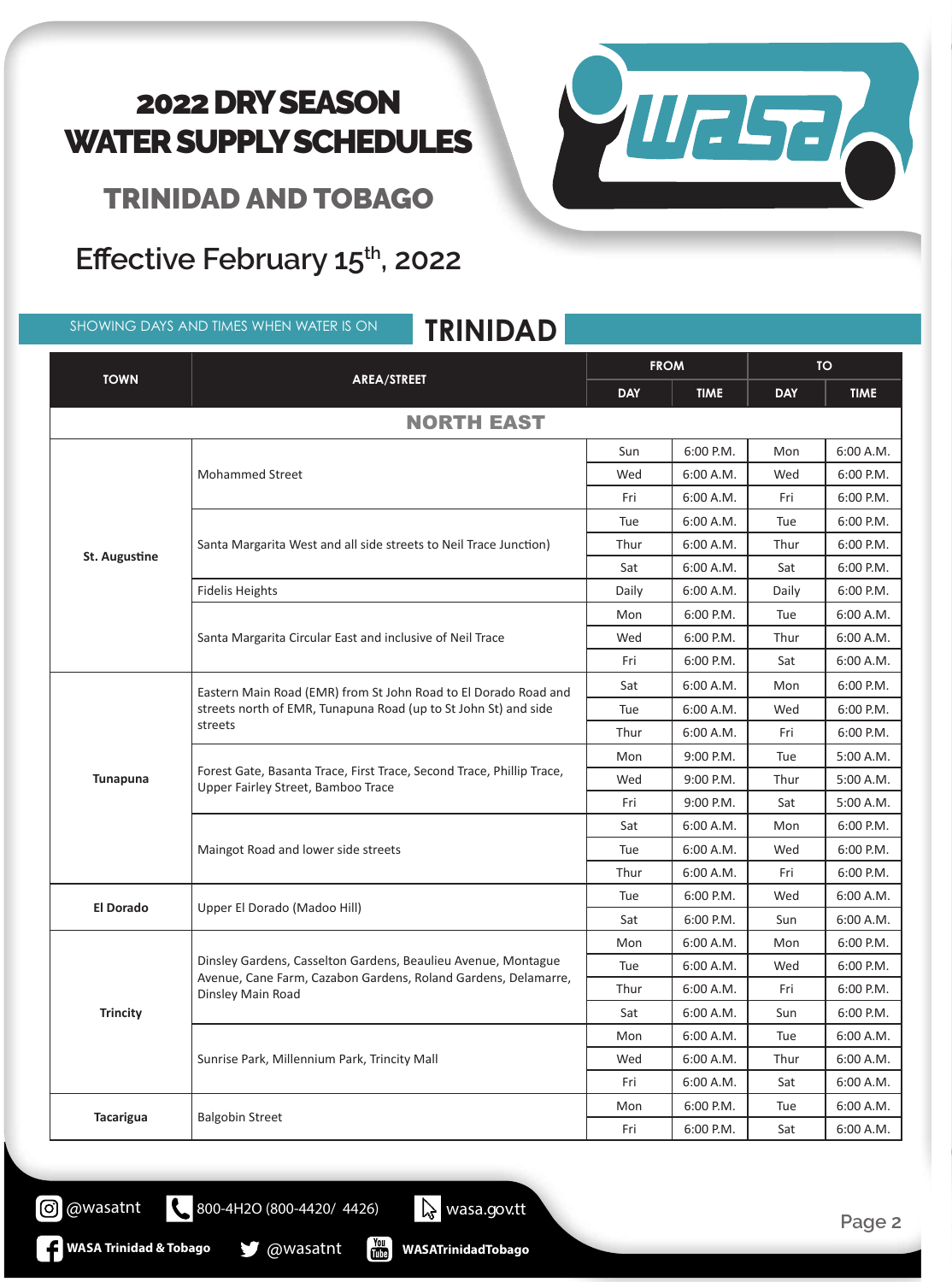

TRINIDAD AND TOBAGO

### Effective February 15<sup>th</sup>, 2022

SHOWING DAYS AND TIMES WHEN WATER IS ON **TRINIDAD**

| <b>TOWN</b>          | AREA/STREET                                                                                                                                          | <b>FROM</b> |             | <b>TO</b>  |             |  |
|----------------------|------------------------------------------------------------------------------------------------------------------------------------------------------|-------------|-------------|------------|-------------|--|
|                      |                                                                                                                                                      | <b>DAY</b>  | <b>TIME</b> | <b>DAY</b> | <b>TIME</b> |  |
| <b>NORTH EAST</b>    |                                                                                                                                                      |             |             |            |             |  |
|                      |                                                                                                                                                      | Sun         | 6:00 P.M.   | Mon        | 6:00 A.M.   |  |
|                      | <b>Mohammed Street</b>                                                                                                                               | Wed         | 6:00 A.M.   | Wed        | 6:00 P.M.   |  |
|                      |                                                                                                                                                      | Fri         | 6:00 A.M.   | Fri        | 6:00 P.M.   |  |
|                      |                                                                                                                                                      | Tue         | 6:00 A.M.   | Tue        | 6:00 P.M.   |  |
|                      | Santa Margarita West and all side streets to Neil Trace Junction)                                                                                    | Thur        | 6:00 A.M.   | Thur       | 6:00 P.M.   |  |
| <b>St. Augustine</b> |                                                                                                                                                      | Sat         | 6:00 A.M.   | Sat        | 6:00 P.M.   |  |
|                      | <b>Fidelis Heights</b>                                                                                                                               | Daily       | 6:00 A.M.   | Daily      | 6:00 P.M.   |  |
|                      |                                                                                                                                                      | Mon         | 6:00 P.M.   | Tue        | 6:00 A.M.   |  |
|                      | Santa Margarita Circular East and inclusive of Neil Trace                                                                                            | Wed         | 6:00 P.M.   | Thur       | 6:00 A.M.   |  |
|                      |                                                                                                                                                      | Fri         | 6:00 P.M.   | Sat        | 6:00 A.M.   |  |
|                      | Eastern Main Road (EMR) from St John Road to El Dorado Road and<br>streets north of EMR, Tunapuna Road (up to St John St) and side<br>streets        | Sat         | 6:00 A.M.   | Mon        | 6:00 P.M.   |  |
|                      |                                                                                                                                                      | Tue         | 6:00 A.M.   | Wed        | 6:00 P.M.   |  |
|                      |                                                                                                                                                      | Thur        | 6:00 A.M.   | Fri        | 6:00 P.M.   |  |
|                      | Forest Gate, Basanta Trace, First Trace, Second Trace, Phillip Trace,<br>Upper Fairley Street, Bamboo Trace                                          | Mon         | 9:00 P.M.   | Tue        | 5:00 A.M.   |  |
| <b>Tunapuna</b>      |                                                                                                                                                      | Wed         | 9:00 P.M.   | Thur       | 5:00 A.M.   |  |
|                      |                                                                                                                                                      | Fri         | 9:00 P.M.   | Sat        | 5:00 A.M.   |  |
|                      |                                                                                                                                                      | Sat         | 6:00 A.M.   | Mon        | 6:00 P.M.   |  |
|                      | Maingot Road and lower side streets                                                                                                                  | Tue         | 6:00 A.M.   | Wed        | 6:00 P.M.   |  |
|                      |                                                                                                                                                      | Thur        | 6:00 A.M.   | Fri        | 6:00 P.M.   |  |
| <b>El Dorado</b>     | Upper El Dorado (Madoo Hill)                                                                                                                         | Tue         | 6:00 P.M.   | Wed        | 6:00 A.M.   |  |
|                      |                                                                                                                                                      | Sat         | 6:00 P.M.   | Sun        | 6:00 A.M.   |  |
|                      | Dinsley Gardens, Casselton Gardens, Beaulieu Avenue, Montague<br>Avenue, Cane Farm, Cazabon Gardens, Roland Gardens, Delamarre,<br>Dinsley Main Road | Mon         | 6:00 A.M.   | Mon        | 6:00 P.M.   |  |
|                      |                                                                                                                                                      | Tue         | 6:00 A.M.   | Wed        | 6:00 P.M.   |  |
|                      |                                                                                                                                                      | Thur        | 6:00 A.M.   | Fri        | 6:00 P.M.   |  |
| <b>Trincity</b>      |                                                                                                                                                      | Sat         | 6:00 A.M.   | Sun        | 6:00 P.M.   |  |
|                      |                                                                                                                                                      | Mon         | 6:00 A.M.   | Tue        | 6:00 A.M.   |  |
|                      | Sunrise Park, Millennium Park, Trincity Mall                                                                                                         | Wed         | 6:00 A.M.   | Thur       | 6:00 A.M.   |  |
|                      |                                                                                                                                                      | Fri         | 6:00 A.M.   | Sat        | 6:00 A.M.   |  |
|                      |                                                                                                                                                      | Mon         | 6:00 P.M.   | Tue        | 6:00 A.M.   |  |
| <b>Tacarigua</b>     | <b>Balgobin Street</b>                                                                                                                               | Fri         | 6:00 P.M.   | Sat        | 6:00 A.M.   |  |

 $\begin{bmatrix} \gamma_{01} \\ \gamma_{11} \\ \gamma_{21} \end{bmatrix}$ **WASATrinidadTobago**

800-4H2O (800-4420/ 4426) wasa.gov.tt

**WASA Trinidad & Tobago @wasatnt** 

**O** @wasatnt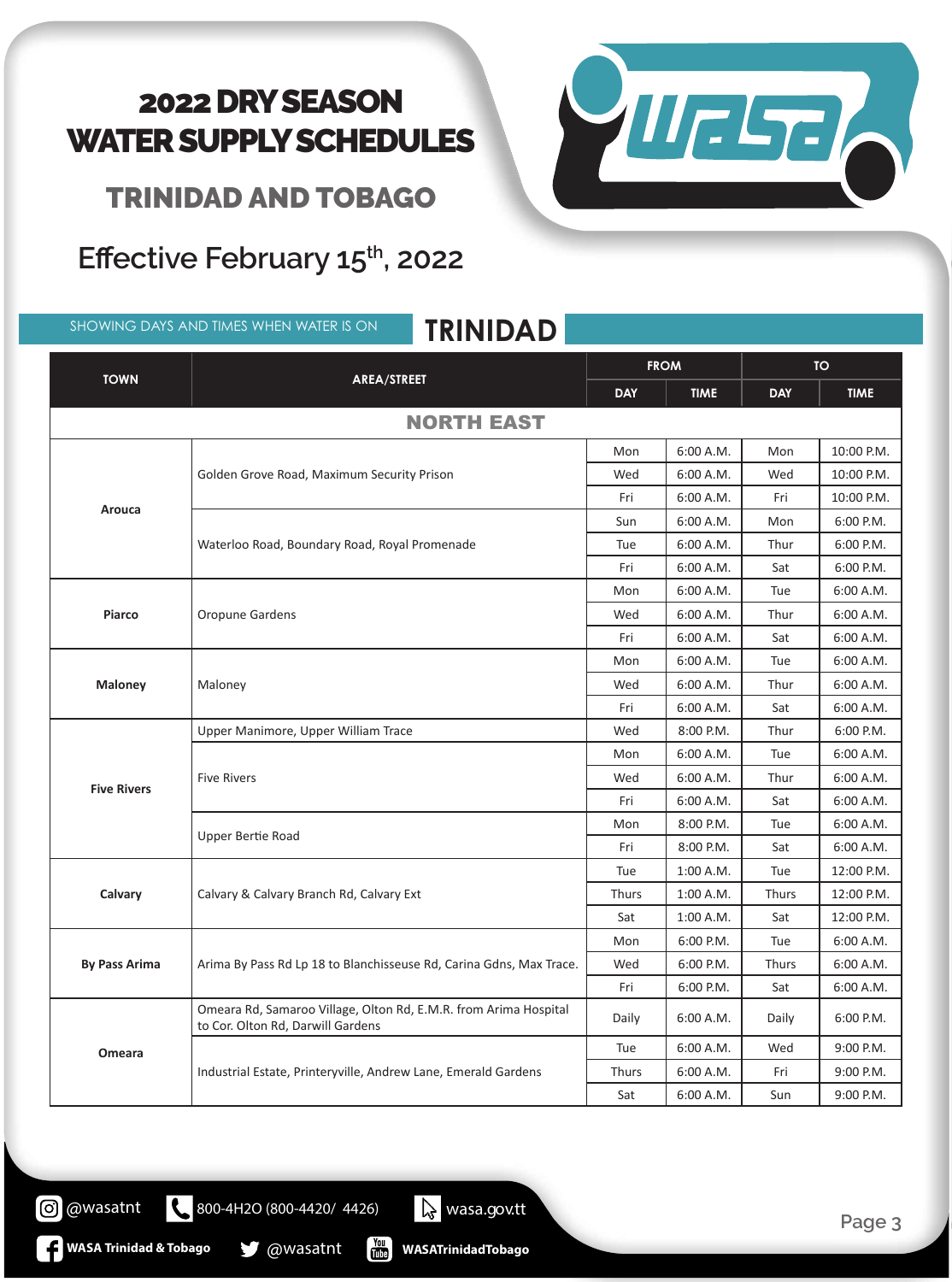

TRINIDAD AND TOBAGO

### Effective February 15<sup>th</sup>, 2022

SHOWING DAYS AND TIMES WHEN WATER IS ON **TRINIDAD**

| <b>TOWN</b>          | AREA/STREET                                                                                           | <b>FROM</b> |             | <b>TO</b>  |             |  |
|----------------------|-------------------------------------------------------------------------------------------------------|-------------|-------------|------------|-------------|--|
|                      |                                                                                                       | <b>DAY</b>  | <b>TIME</b> | <b>DAY</b> | <b>TIME</b> |  |
| <b>NORTH EAST</b>    |                                                                                                       |             |             |            |             |  |
|                      |                                                                                                       | Mon         | 6:00 A.M.   | Mon        | 10:00 P.M.  |  |
|                      | Golden Grove Road, Maximum Security Prison                                                            | Wed         | 6:00 A.M.   | Wed        | 10:00 P.M.  |  |
|                      |                                                                                                       | Fri         | 6:00 A.M.   | Fri        | 10:00 P.M.  |  |
| Arouca               |                                                                                                       | Sun         | 6:00 A.M.   | Mon        | 6:00 P.M.   |  |
|                      | Waterloo Road, Boundary Road, Royal Promenade                                                         | Tue         | 6:00 A.M.   | Thur       | 6:00 P.M.   |  |
|                      |                                                                                                       | Fri         | 6:00 A.M.   | Sat        | 6:00 P.M.   |  |
|                      |                                                                                                       | Mon         | 6:00 A.M.   | Tue        | 6:00 A.M.   |  |
| <b>Piarco</b>        | Oropune Gardens                                                                                       | Wed         | 6:00 A.M.   | Thur       | 6:00 A.M.   |  |
|                      |                                                                                                       | Fri         | 6:00 A.M.   | Sat        | 6:00 A.M.   |  |
|                      | Maloney                                                                                               | Mon         | 6:00 A.M.   | Tue        | 6:00 A.M.   |  |
| <b>Maloney</b>       |                                                                                                       | Wed         | 6:00 A.M.   | Thur       | 6:00 A.M.   |  |
|                      |                                                                                                       | Fri         | 6:00 A.M.   | Sat        | 6:00 A.M.   |  |
|                      | Upper Manimore, Upper William Trace                                                                   | Wed         | 8:00 P.M.   | Thur       | 6:00 P.M.   |  |
|                      | <b>Five Rivers</b>                                                                                    | Mon         | 6:00 A.M.   | Tue        | 6:00 A.M.   |  |
| <b>Five Rivers</b>   |                                                                                                       | Wed         | 6:00 A.M.   | Thur       | 6:00 A.M.   |  |
|                      |                                                                                                       | Fri         | 6:00 A.M.   | Sat        | 6:00 A.M.   |  |
|                      | Upper Bertie Road                                                                                     | Mon         | 8:00 P.M.   | Tue        | 6:00 A.M.   |  |
|                      |                                                                                                       | Fri         | 8:00 P.M.   | Sat        | 6:00 A.M.   |  |
|                      | Calvary & Calvary Branch Rd, Calvary Ext                                                              | Tue         | 1:00 A.M.   | Tue        | 12:00 P.M.  |  |
| Calvary              |                                                                                                       | Thurs       | 1:00 A.M.   | Thurs      | 12:00 P.M.  |  |
|                      |                                                                                                       | Sat         | 1:00 A.M.   | Sat        | 12:00 P.M.  |  |
|                      | Arima By Pass Rd Lp 18 to Blanchisseuse Rd, Carina Gdns, Max Trace.                                   | Mon         | 6:00 P.M.   | Tue        | 6:00 A.M.   |  |
| <b>By Pass Arima</b> |                                                                                                       | Wed         | 6:00 P.M.   | Thurs      | 6:00 A.M.   |  |
|                      |                                                                                                       | Fri         | 6:00 P.M.   | Sat        | 6:00 A.M.   |  |
|                      | Omeara Rd, Samaroo Village, Olton Rd, E.M.R. from Arima Hospital<br>to Cor. Olton Rd, Darwill Gardens | Daily       | 6:00 A.M.   | Daily      | 6:00 P.M.   |  |
| Omeara               |                                                                                                       | Tue         | 6:00 A.M.   | Wed        | 9:00 P.M.   |  |
|                      | Industrial Estate, Printeryville, Andrew Lane, Emerald Gardens                                        | Thurs       | 6:00 A.M.   | Fri        | 9:00 P.M.   |  |
|                      |                                                                                                       | Sat         | 6:00 A.M.   | Sun        | 9:00 P.M.   |  |

**WASATrinidadTobago**

800-4H2O (800-4420/ 4426) wasa.gov.tt

 $\begin{bmatrix} \gamma_{01} \\ \gamma_{11} \\ \gamma_{21} \end{bmatrix}$ 

**WASA Trinidad & Tobago @wasatnt** 

**O** @wasatnt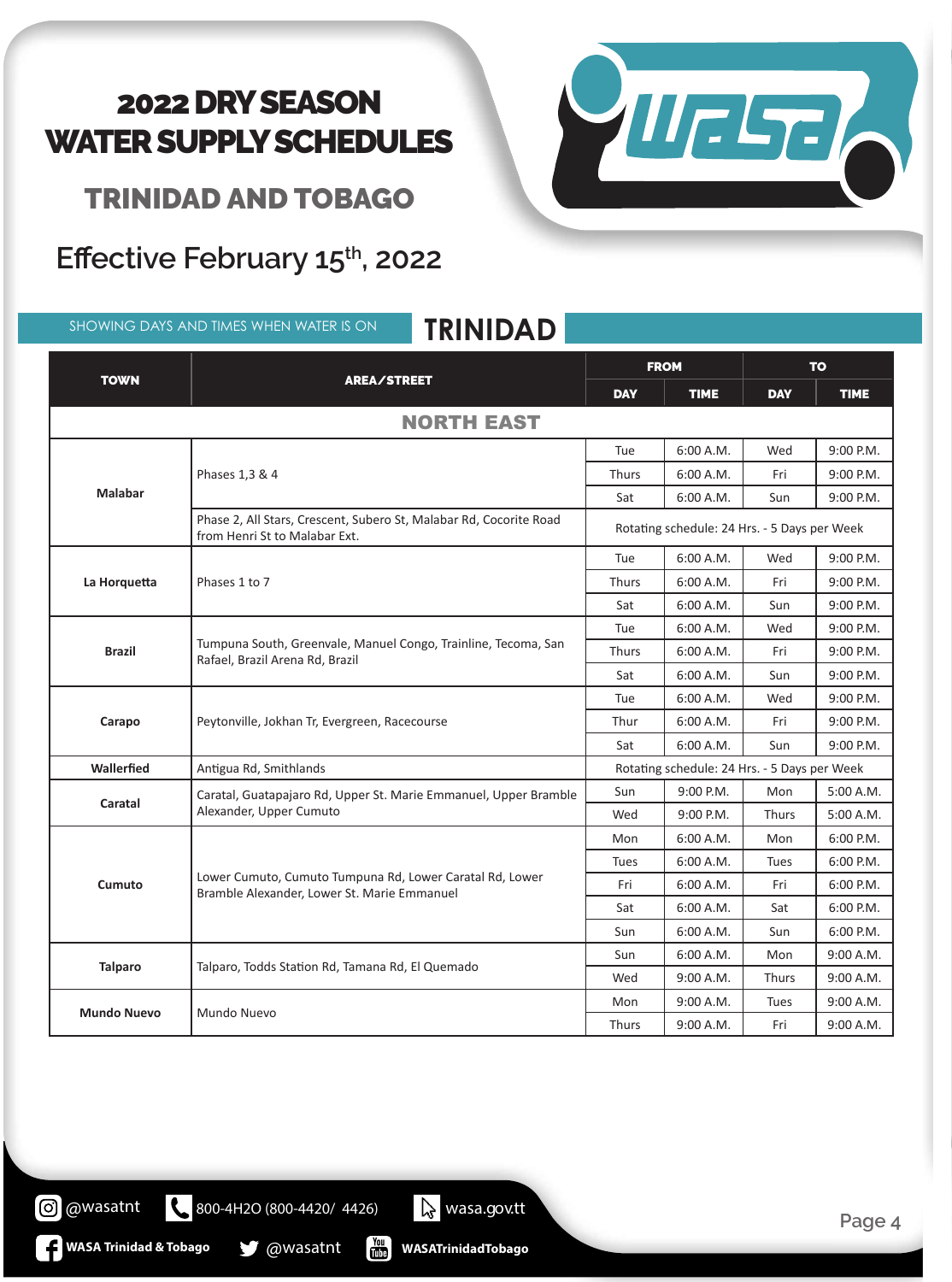VIIESE

TRINIDAD AND TOBAGO

# **Effective February 15th, 2022 Effective February 15th, 2022**

SHOWING DAYS AND TIMES WHEN WATER IS ON **TRINIDAD**

| <b>TOWN</b>        | <b>AREA/STREET</b>                                                                                      | <b>FROM</b>                                  |             | <b>TO</b>   |             |
|--------------------|---------------------------------------------------------------------------------------------------------|----------------------------------------------|-------------|-------------|-------------|
|                    |                                                                                                         | <b>DAY</b>                                   | <b>TIME</b> | <b>DAY</b>  | <b>TIME</b> |
|                    | <b>NORTH EAST</b>                                                                                       |                                              |             |             |             |
|                    | Phases 1,3 & 4                                                                                          | Tue                                          | 6:00 A.M.   | Wed         | 9:00 P.M.   |
|                    |                                                                                                         | <b>Thurs</b>                                 | 6:00 A.M.   | Fri         | 9:00 P.M.   |
| <b>Malabar</b>     |                                                                                                         | Sat                                          | 6:00 A.M.   | Sun         | 9:00 P.M.   |
|                    | Phase 2, All Stars, Crescent, Subero St, Malabar Rd, Cocorite Road<br>from Henri St to Malabar Ext.     | Rotating schedule: 24 Hrs. - 5 Days per Week |             |             |             |
|                    |                                                                                                         | Tue                                          | 6:00 A.M.   | Wed         | 9:00 P.M.   |
| La Horquetta       | Phases 1 to 7                                                                                           | <b>Thurs</b>                                 | 6:00 A.M.   | Fri         | 9:00 P.M.   |
|                    |                                                                                                         | Sat                                          | 6:00 A.M.   | Sun         | 9:00 P.M.   |
|                    | Tumpuna South, Greenvale, Manuel Congo, Trainline, Tecoma, San<br>Rafael, Brazil Arena Rd, Brazil       | Tue                                          | 6:00 A.M.   | Wed         | 9:00 P.M.   |
| <b>Brazil</b>      |                                                                                                         | <b>Thurs</b>                                 | 6:00 A.M.   | Fri         | 9:00 P.M.   |
|                    |                                                                                                         | Sat                                          | 6:00 A.M.   | Sun         | 9:00 P.M.   |
|                    | Peytonville, Jokhan Tr, Evergreen, Racecourse                                                           | Tue                                          | 6:00 A.M.   | Wed         | 9:00 P.M.   |
| Carapo             |                                                                                                         | Thur                                         | 6:00 A.M.   | Fri         | 9:00 P.M.   |
|                    |                                                                                                         | Sat                                          | 6:00 A.M.   | Sun         | 9:00 P.M.   |
| Wallerfied         | Antigua Rd, Smithlands                                                                                  | Rotating schedule: 24 Hrs. - 5 Days per Week |             |             |             |
| Caratal            | Caratal, Guatapajaro Rd, Upper St. Marie Emmanuel, Upper Bramble<br>Alexander, Upper Cumuto             | Sun                                          | 9:00 P.M.   | Mon         | 5:00 A.M.   |
|                    |                                                                                                         | Wed                                          | 9:00 P.M.   | Thurs       | 5:00 A.M.   |
|                    | Lower Cumuto, Cumuto Tumpuna Rd, Lower Caratal Rd, Lower<br>Bramble Alexander, Lower St. Marie Emmanuel | Mon                                          | 6:00 A.M.   | Mon         | $6:00$ P.M. |
|                    |                                                                                                         | <b>Tues</b>                                  | 6:00 A.M.   | <b>Tues</b> | 6:00 P.M.   |
| Cumuto             |                                                                                                         | Fri                                          | 6:00 A.M.   | Fri         | 6:00 P.M.   |
|                    |                                                                                                         | Sat                                          | 6:00 A.M.   | Sat         | 6:00 P.M.   |
|                    |                                                                                                         | Sun                                          | 6:00 A.M.   | Sun         | 6:00 P.M.   |
| <b>Talparo</b>     | Talparo, Todds Station Rd, Tamana Rd, El Quemado                                                        | Sun                                          | 6:00 A.M.   | Mon         | 9:00 A.M.   |
|                    |                                                                                                         | Wed                                          | 9:00 A.M.   | Thurs       | 9:00 A.M.   |
| <b>Mundo Nuevo</b> | Mundo Nuevo                                                                                             | Mon                                          | 9:00 A.M.   | Tues        | 9:00 A.M.   |
|                    |                                                                                                         | <b>Thurs</b>                                 | 9:00 A.M.   | Fri         | 9:00 A.M.   |

**WASATrinidadTobago**

800-4H2O (800-4420/ 4426) <br>
wasa.gov.tt

 $\mathbf{E}$ 

**WASA Trinidad & Tobago @wasatnt** 

**@** @wasatnt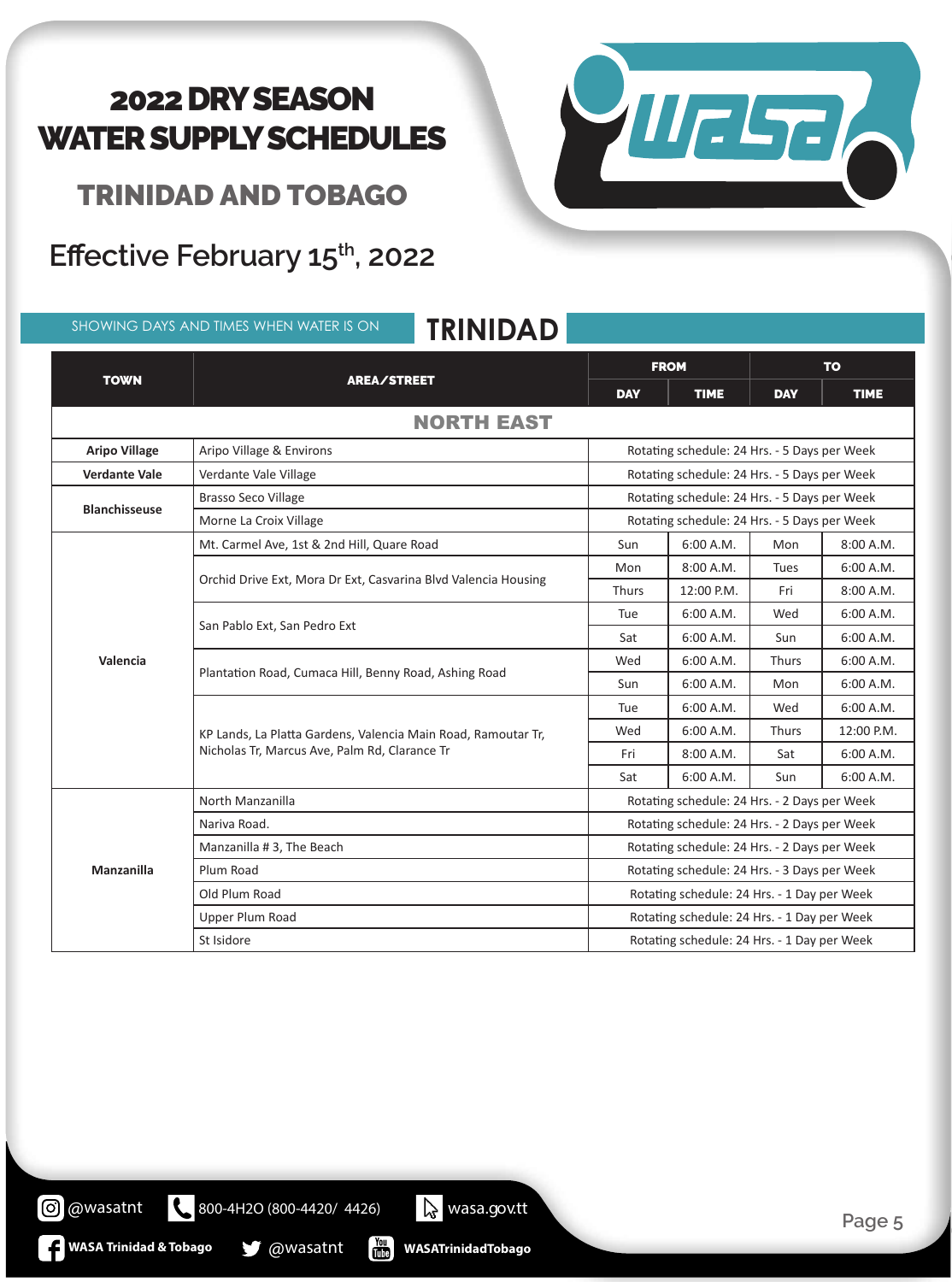VIIELTE

TRINIDAD AND TOBAGO

# Effective February 15<sup>th</sup>, 2022

|                      | <b>TRINIDAD</b><br>SHOWING DAYS AND TIMES WHEN WATER IS ON                                                     |                                              |                                              |              |             |  |
|----------------------|----------------------------------------------------------------------------------------------------------------|----------------------------------------------|----------------------------------------------|--------------|-------------|--|
|                      | AREA/STREET                                                                                                    | <b>FROM</b>                                  |                                              | <b>TO</b>    |             |  |
| <b>TOWN</b>          |                                                                                                                | <b>DAY</b>                                   | <b>TIME</b>                                  | <b>DAY</b>   | <b>TIME</b> |  |
|                      | <b>NORTH EAST</b>                                                                                              |                                              |                                              |              |             |  |
| <b>Aripo Village</b> | Aripo Village & Environs                                                                                       |                                              | Rotating schedule: 24 Hrs. - 5 Days per Week |              |             |  |
| <b>Verdante Vale</b> | Verdante Vale Village                                                                                          | Rotating schedule: 24 Hrs. - 5 Days per Week |                                              |              |             |  |
|                      | <b>Brasso Seco Village</b>                                                                                     | Rotating schedule: 24 Hrs. - 5 Days per Week |                                              |              |             |  |
| <b>Blanchisseuse</b> | Morne La Croix Village                                                                                         | Rotating schedule: 24 Hrs. - 5 Days per Week |                                              |              |             |  |
|                      | Mt. Carmel Ave, 1st & 2nd Hill, Quare Road                                                                     | Sun                                          | 6:00 A.M.                                    | Mon          | 8:00 A.M.   |  |
|                      | Orchid Drive Ext, Mora Dr Ext, Casvarina Blvd Valencia Housing                                                 | Mon                                          | 8:00 A.M.                                    | <b>Tues</b>  | 6:00 A.M.   |  |
|                      |                                                                                                                | <b>Thurs</b>                                 | 12:00 P.M.                                   | Fri          | 8:00 A.M.   |  |
|                      | San Pablo Ext, San Pedro Ext                                                                                   | Tue                                          | 6:00 A.M.                                    | Wed          | 6:00 A.M.   |  |
|                      |                                                                                                                | Sat                                          | 6:00 A.M.                                    | Sun          | 6:00 A.M.   |  |
| Valencia             | Plantation Road, Cumaca Hill, Benny Road, Ashing Road                                                          | Wed                                          | 6:00 A.M.                                    | <b>Thurs</b> | 6:00 A.M.   |  |
|                      |                                                                                                                | Sun                                          | 6:00 A.M.                                    | Mon          | 6:00 A.M.   |  |
|                      | KP Lands, La Platta Gardens, Valencia Main Road, Ramoutar Tr,<br>Nicholas Tr, Marcus Ave, Palm Rd, Clarance Tr | Tue                                          | 6:00 A.M.                                    | Wed          | 6:00 A.M.   |  |
|                      |                                                                                                                | Wed                                          | 6:00 A.M.                                    | <b>Thurs</b> | 12:00 P.M.  |  |
|                      |                                                                                                                | Fri                                          | 8:00 A.M.                                    | Sat          | 6:00 A.M.   |  |
|                      |                                                                                                                | Sat                                          | 6:00 A.M.                                    | Sun          | 6:00 A.M.   |  |
|                      | North Manzanilla                                                                                               | Rotating schedule: 24 Hrs. - 2 Days per Week |                                              |              |             |  |
| <b>Manzanilla</b>    | Nariva Road.                                                                                                   | Rotating schedule: 24 Hrs. - 2 Days per Week |                                              |              |             |  |
|                      | Manzanilla # 3, The Beach                                                                                      | Rotating schedule: 24 Hrs. - 2 Days per Week |                                              |              |             |  |
|                      | Plum Road                                                                                                      | Rotating schedule: 24 Hrs. - 3 Days per Week |                                              |              |             |  |
|                      | Old Plum Road                                                                                                  | Rotating schedule: 24 Hrs. - 1 Day per Week  |                                              |              |             |  |
|                      | Upper Plum Road                                                                                                | Rotating schedule: 24 Hrs. - 1 Day per Week  |                                              |              |             |  |
|                      | St Isidore                                                                                                     | Rotating schedule: 24 Hrs. - 1 Day per Week  |                                              |              |             |  |

800-4H2O (800-4420/ 4426) <br>
wasa.gov.tt  $\frac{Y_{\text{OII}}}{\text{Hilb}}$ **WASA Trinidad & Tobago @wasatnt WASATrinidadTobago**

**@** @wasatnt